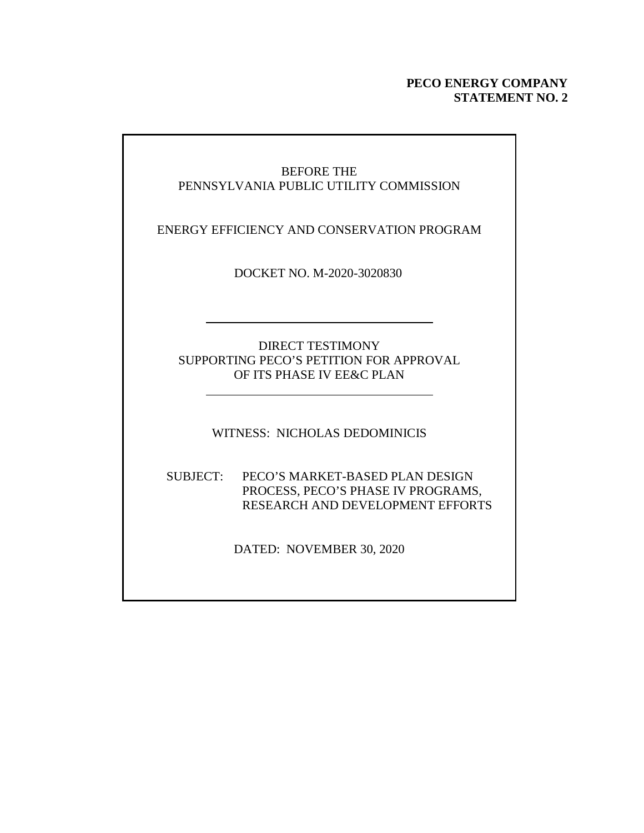#### **PECO ENERGY COMPANY STATEMENT NO. 2**

### BEFORE THE PENNSYLVANIA PUBLIC UTILITY COMMISSION

ENERGY EFFICIENCY AND CONSERVATION PROGRAM

DOCKET NO. M-2020-3020830

#### DIRECT TESTIMONY SUPPORTING PECO'S PETITION FOR APPROVAL OF ITS PHASE IV EE&C PLAN

WITNESS: NICHOLAS DEDOMINICIS

#### SUBJECT: PECO'S MARKET-BASED PLAN DESIGN PROCESS, PECO'S PHASE IV PROGRAMS, RESEARCH AND DEVELOPMENT EFFORTS

DATED: NOVEMBER 30, 2020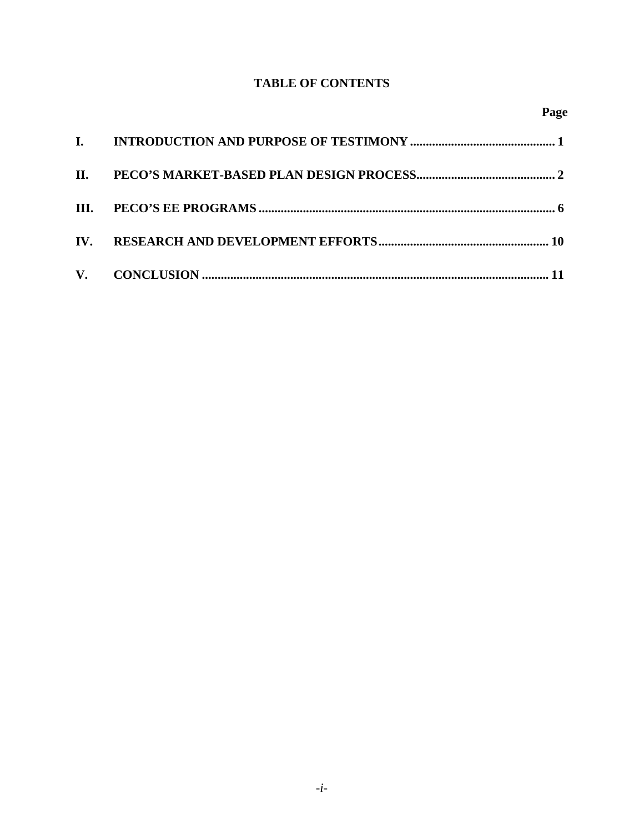## **TABLE OF CONTENTS**

| $\mathbf{I}$ |  |
|--------------|--|
| <b>II.</b>   |  |
|              |  |
| IV.          |  |
|              |  |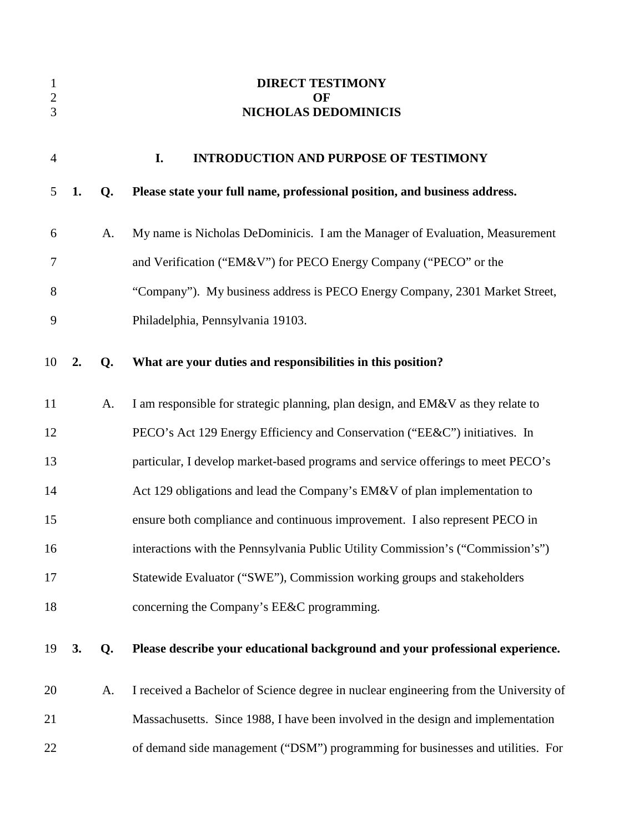| $\mathbf{1}$  |    |    | <b>DIRECT TESTIMONY</b>                                                               |
|---------------|----|----|---------------------------------------------------------------------------------------|
| $\frac{2}{3}$ |    |    | OF<br><b>NICHOLAS DEDOMINICIS</b>                                                     |
| 4             |    |    | I.<br><b>INTRODUCTION AND PURPOSE OF TESTIMONY</b>                                    |
| 5             | 1. | Q. | Please state your full name, professional position, and business address.             |
| 6             |    | A. | My name is Nicholas DeDominicis. I am the Manager of Evaluation, Measurement          |
| 7             |    |    | and Verification ("EM&V") for PECO Energy Company ("PECO" or the                      |
| 8             |    |    | "Company"). My business address is PECO Energy Company, 2301 Market Street,           |
| 9             |    |    | Philadelphia, Pennsylvania 19103.                                                     |
| 10            | 2. | Q. | What are your duties and responsibilities in this position?                           |
| 11            |    | A. | I am responsible for strategic planning, plan design, and EM&V as they relate to      |
| 12            |    |    | PECO's Act 129 Energy Efficiency and Conservation ("EE&C") initiatives. In            |
| 13            |    |    | particular, I develop market-based programs and service offerings to meet PECO's      |
| 14            |    |    | Act 129 obligations and lead the Company's EM&V of plan implementation to             |
| 15            |    |    | ensure both compliance and continuous improvement. I also represent PECO in           |
| 16            |    |    | interactions with the Pennsylvania Public Utility Commission's ("Commission's")       |
| 17            |    |    | Statewide Evaluator ("SWE"), Commission working groups and stakeholders               |
| 18            |    |    | concerning the Company's EE&C programming.                                            |
| 19            | 3. | Q. | Please describe your educational background and your professional experience.         |
| 20            |    | A. | I received a Bachelor of Science degree in nuclear engineering from the University of |
| 21            |    |    | Massachusetts. Since 1988, I have been involved in the design and implementation      |
| 22            |    |    | of demand side management ("DSM") programming for businesses and utilities. For       |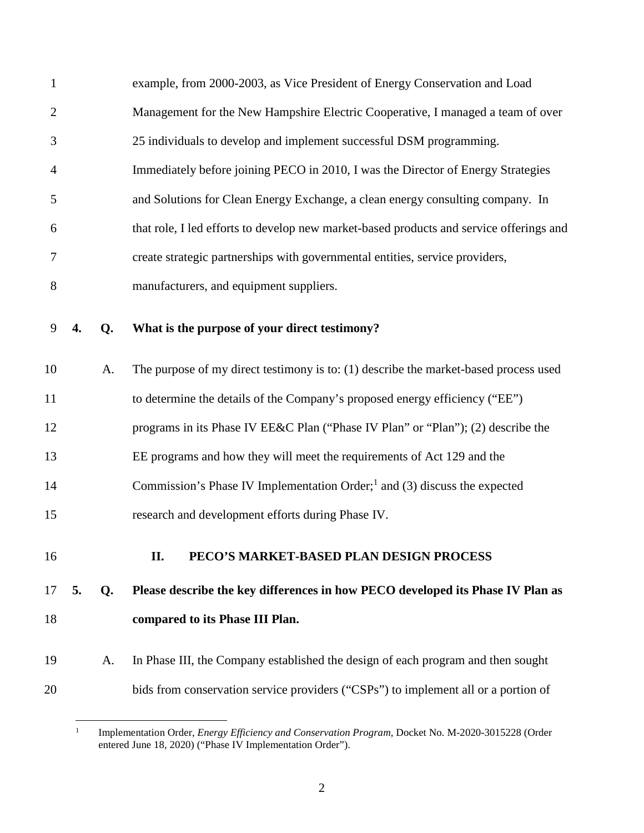| $\mathbf{1}$   |    |    | example, from 2000-2003, as Vice President of Energy Conservation and Load              |
|----------------|----|----|-----------------------------------------------------------------------------------------|
| $\overline{2}$ |    |    | Management for the New Hampshire Electric Cooperative, I managed a team of over         |
| 3              |    |    | 25 individuals to develop and implement successful DSM programming.                     |
| $\overline{4}$ |    |    | Immediately before joining PECO in 2010, I was the Director of Energy Strategies        |
| 5              |    |    | and Solutions for Clean Energy Exchange, a clean energy consulting company. In          |
| 6              |    |    | that role, I led efforts to develop new market-based products and service offerings and |
| 7              |    |    | create strategic partnerships with governmental entities, service providers,            |
| $8\,$          |    |    | manufacturers, and equipment suppliers.                                                 |
| 9              | 4. | Q. | What is the purpose of your direct testimony?                                           |
| 10             |    | A. | The purpose of my direct testimony is to: (1) describe the market-based process used    |
| 11             |    |    | to determine the details of the Company's proposed energy efficiency ("EE")             |
|                |    |    |                                                                                         |
| 12             |    |    | programs in its Phase IV EE&C Plan ("Phase IV Plan" or "Plan"); (2) describe the        |
| 13             |    |    | EE programs and how they will meet the requirements of Act 129 and the                  |
| 14             |    |    | Commission's Phase IV Implementation Order; $1$ and (3) discuss the expected            |
| 15             |    |    | research and development efforts during Phase IV.                                       |
| 16             |    |    | PECO'S MARKET-BASED PLAN DESIGN PROCESS<br>II.                                          |
| 17             | 5. | Q. | Please describe the key differences in how PECO developed its Phase IV Plan as          |
| 18             |    |    | compared to its Phase III Plan.                                                         |
| 19             |    | A. | In Phase III, the Company established the design of each program and then sought        |

<sup>1</sup> Implementation Order, *Energy Efficiency and Conservation Program*, Docket No. M-2020-3015228 (Order entered June 18, 2020) ("Phase IV Implementation Order").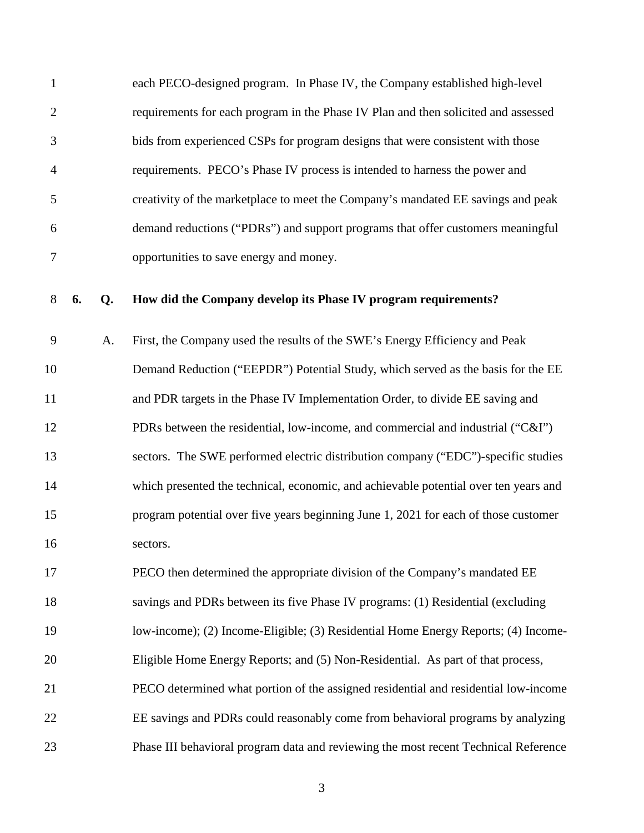| $\mathbf{1}$ |    |    | each PECO-designed program. In Phase IV, the Company established high-level          |
|--------------|----|----|--------------------------------------------------------------------------------------|
| $\mathbf{2}$ |    |    | requirements for each program in the Phase IV Plan and then solicited and assessed   |
| 3            |    |    | bids from experienced CSPs for program designs that were consistent with those       |
| 4            |    |    | requirements. PECO's Phase IV process is intended to harness the power and           |
| 5            |    |    | creativity of the marketplace to meet the Company's mandated EE savings and peak     |
| 6            |    |    | demand reductions ("PDRs") and support programs that offer customers meaningful      |
| 7            |    |    | opportunities to save energy and money.                                              |
| 8            | 6. | Q. | How did the Company develop its Phase IV program requirements?                       |
| 9            |    | A. | First, the Company used the results of the SWE's Energy Efficiency and Peak          |
| 10           |    |    | Demand Reduction ("EEPDR") Potential Study, which served as the basis for the EE     |
| 11           |    |    | and PDR targets in the Phase IV Implementation Order, to divide EE saving and        |
| 12           |    |    | PDRs between the residential, low-income, and commercial and industrial ("C&I")      |
| 13           |    |    | sectors. The SWE performed electric distribution company ("EDC")-specific studies    |
| 14           |    |    | which presented the technical, economic, and achievable potential over ten years and |
| 15           |    |    | program potential over five years beginning June 1, 2021 for each of those customer  |
| 16           |    |    | sectors.                                                                             |
| 17           |    |    | PECO then determined the appropriate division of the Company's mandated EE           |
| 18           |    |    | savings and PDRs between its five Phase IV programs: (1) Residential (excluding      |
| 19           |    |    | low-income); (2) Income-Eligible; (3) Residential Home Energy Reports; (4) Income-   |
| 20           |    |    | Eligible Home Energy Reports; and (5) Non-Residential. As part of that process,      |
| 21           |    |    | PECO determined what portion of the assigned residential and residential low-income  |
| 22           |    |    | EE savings and PDRs could reasonably come from behavioral programs by analyzing      |
| 23           |    |    | Phase III behavioral program data and reviewing the most recent Technical Reference  |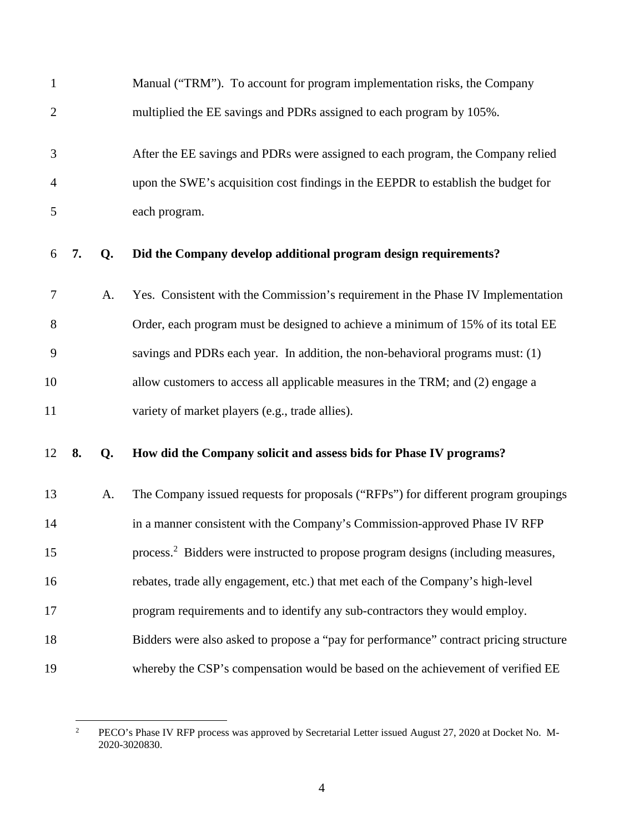| $\mathbf{1}$   |    |    | Manual ("TRM"). To account for program implementation risks, the Company                      |
|----------------|----|----|-----------------------------------------------------------------------------------------------|
| $\overline{2}$ |    |    | multiplied the EE savings and PDRs assigned to each program by 105%.                          |
| 3              |    |    | After the EE savings and PDRs were assigned to each program, the Company relied               |
| 4              |    |    | upon the SWE's acquisition cost findings in the EEPDR to establish the budget for             |
| 5              |    |    | each program.                                                                                 |
| 6              | 7. | Q. | Did the Company develop additional program design requirements?                               |
| 7              |    | A. | Yes. Consistent with the Commission's requirement in the Phase IV Implementation              |
| 8              |    |    | Order, each program must be designed to achieve a minimum of 15% of its total EE              |
| 9              |    |    | savings and PDRs each year. In addition, the non-behavioral programs must: (1)                |
| 10             |    |    | allow customers to access all applicable measures in the TRM; and (2) engage a                |
| 11             |    |    | variety of market players (e.g., trade allies).                                               |
| 12             | 8. | Q. | How did the Company solicit and assess bids for Phase IV programs?                            |
| 13             |    | A. | The Company issued requests for proposals ("RFPs") for different program groupings            |
| 14             |    |    | in a manner consistent with the Company's Commission-approved Phase IV RFP                    |
| 15             |    |    | process. <sup>2</sup> Bidders were instructed to propose program designs (including measures, |
| 16             |    |    | rebates, trade ally engagement, etc.) that met each of the Company's high-level               |
| 17             |    |    | program requirements and to identify any sub-contractors they would employ.                   |
| 18             |    |    | Bidders were also asked to propose a "pay for performance" contract pricing structure         |
| 19             |    |    | whereby the CSP's compensation would be based on the achievement of verified EE               |

<sup>2</sup> PECO's Phase IV RFP process was approved by Secretarial Letter issued August 27, 2020 at Docket No. M-2020-3020830.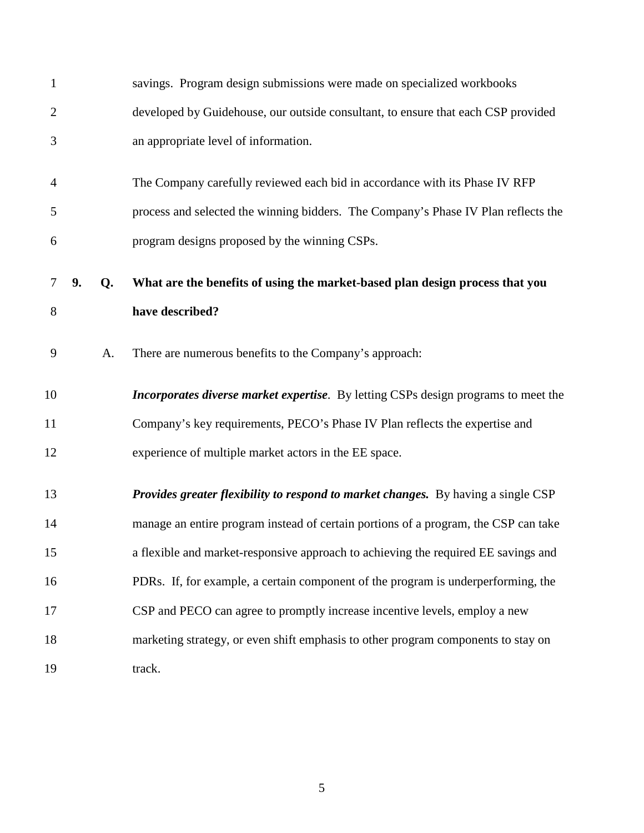| $\mathbf{1}$   |    |    | savings. Program design submissions were made on specialized workbooks                   |
|----------------|----|----|------------------------------------------------------------------------------------------|
| $\overline{2}$ |    |    | developed by Guidehouse, our outside consultant, to ensure that each CSP provided        |
| 3              |    |    | an appropriate level of information.                                                     |
| 4              |    |    | The Company carefully reviewed each bid in accordance with its Phase IV RFP              |
| 5              |    |    | process and selected the winning bidders. The Company's Phase IV Plan reflects the       |
| 6              |    |    | program designs proposed by the winning CSPs.                                            |
| 7              | 9. | Q. | What are the benefits of using the market-based plan design process that you             |
| 8              |    |    | have described?                                                                          |
| 9              |    | A. | There are numerous benefits to the Company's approach:                                   |
| 10             |    |    | Incorporates diverse market expertise. By letting CSPs design programs to meet the       |
| 11             |    |    | Company's key requirements, PECO's Phase IV Plan reflects the expertise and              |
| 12             |    |    | experience of multiple market actors in the EE space.                                    |
| 13             |    |    | <b>Provides greater flexibility to respond to market changes.</b> By having a single CSP |
| 14             |    |    | manage an entire program instead of certain portions of a program, the CSP can take      |
| 15             |    |    | a flexible and market-responsive approach to achieving the required EE savings and       |
| 16             |    |    | PDRs. If, for example, a certain component of the program is underperforming, the        |
| 17             |    |    | CSP and PECO can agree to promptly increase incentive levels, employ a new               |
| 18             |    |    | marketing strategy, or even shift emphasis to other program components to stay on        |
| 19             |    |    | track.                                                                                   |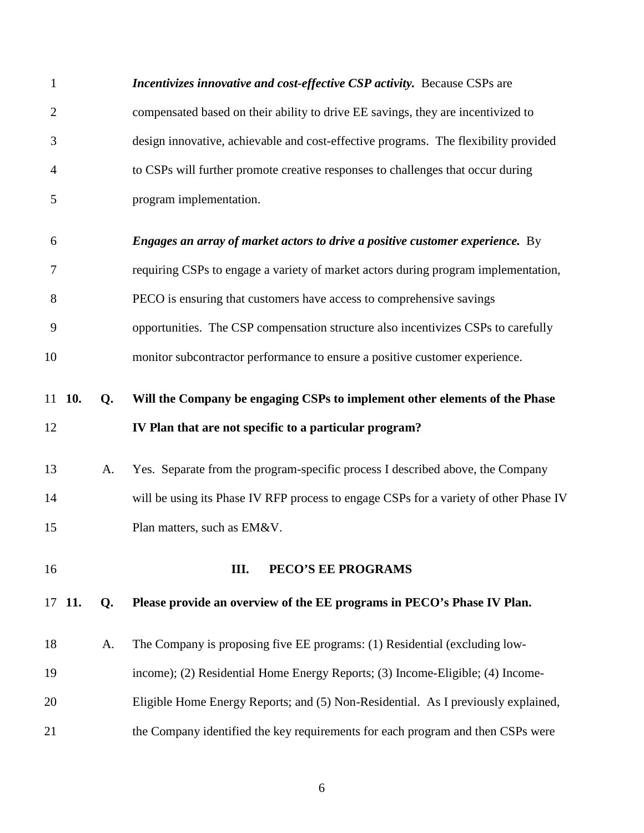| $\mathbf{1}$   |        |    | Incentivizes innovative and cost-effective CSP activity. Because CSPs are             |
|----------------|--------|----|---------------------------------------------------------------------------------------|
| $\overline{2}$ |        |    | compensated based on their ability to drive EE savings, they are incentivized to      |
| 3              |        |    | design innovative, achievable and cost-effective programs. The flexibility provided   |
| $\overline{4}$ |        |    | to CSPs will further promote creative responses to challenges that occur during       |
| 5              |        |    | program implementation.                                                               |
| 6              |        |    | <b>Engages an array of market actors to drive a positive customer experience.</b> By  |
| 7              |        |    | requiring CSPs to engage a variety of market actors during program implementation,    |
| 8              |        |    | PECO is ensuring that customers have access to comprehensive savings                  |
| 9              |        |    | opportunities. The CSP compensation structure also incentivizes CSPs to carefully     |
| 10             |        |    | monitor subcontractor performance to ensure a positive customer experience.           |
|                | 11 10. | Q. | Will the Company be engaging CSPs to implement other elements of the Phase            |
| 12             |        |    | IV Plan that are not specific to a particular program?                                |
| 13             |        | A. | Yes. Separate from the program-specific process I described above, the Company        |
| 14             |        |    | will be using its Phase IV RFP process to engage CSPs for a variety of other Phase IV |
| 15             |        |    | Plan matters, such as EM&V.                                                           |
| 16             |        |    | PECO'S EE PROGRAMS<br>Ш.                                                              |
|                | 17 11. | Q. | Please provide an overview of the EE programs in PECO's Phase IV Plan.                |
| 18             |        | A. | The Company is proposing five EE programs: (1) Residential (excluding low-            |
| 19             |        |    | income); (2) Residential Home Energy Reports; (3) Income-Eligible; (4) Income-        |
| 20             |        |    | Eligible Home Energy Reports; and (5) Non-Residential. As I previously explained,     |
| 21             |        |    | the Company identified the key requirements for each program and then CSPs were       |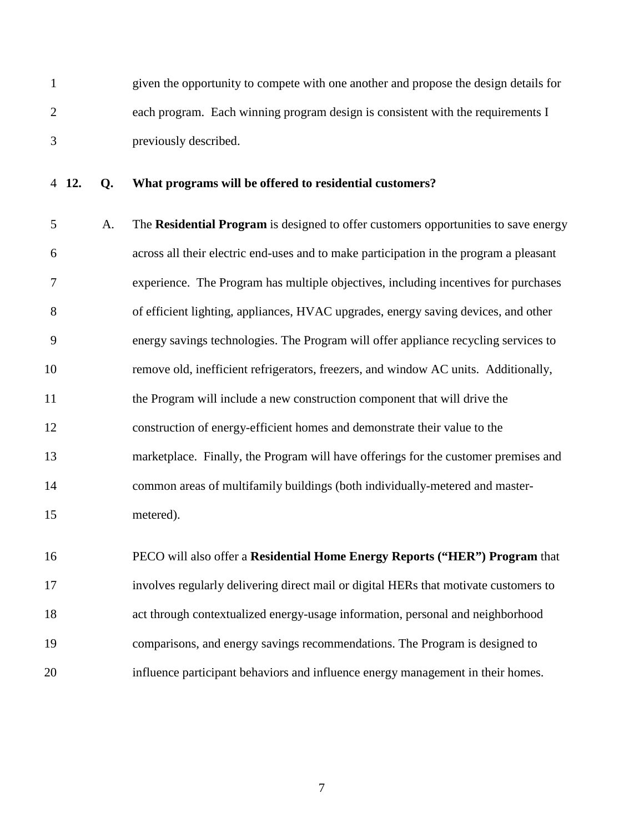1 given the opportunity to compete with one another and propose the design details for 2 each program. Each winning program design is consistent with the requirements I 3 previously described.

#### 4 **12. Q. What programs will be offered to residential customers?**

5 A. The **Residential Program** is designed to offer customers opportunities to save energy 6 across all their electric end-uses and to make participation in the program a pleasant 7 experience. The Program has multiple objectives, including incentives for purchases 8 of efficient lighting, appliances, HVAC upgrades, energy saving devices, and other 9 energy savings technologies. The Program will offer appliance recycling services to 10 remove old, inefficient refrigerators, freezers, and window AC units. Additionally, 11 the Program will include a new construction component that will drive the 12 construction of energy-efficient homes and demonstrate their value to the 13 marketplace. Finally, the Program will have offerings for the customer premises and 14 common areas of multifamily buildings (both individually-metered and master-15 metered).

16 PECO will also offer a **Residential Home Energy Reports ("HER") Program** that 17 involves regularly delivering direct mail or digital HERs that motivate customers to 18 act through contextualized energy-usage information, personal and neighborhood 19 comparisons, and energy savings recommendations. The Program is designed to 20 influence participant behaviors and influence energy management in their homes.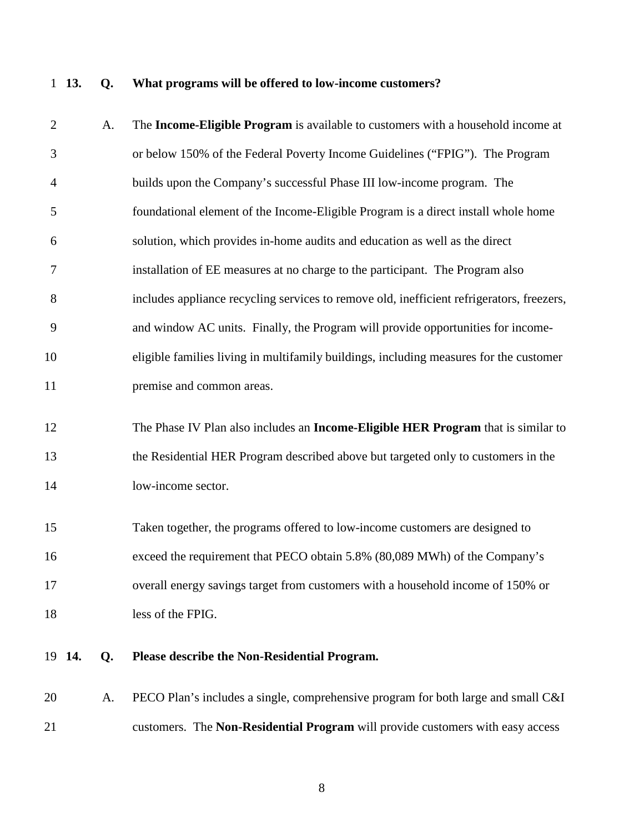# 1 **13. Q. What programs will be offered to low-income customers?**

| $\mathbf{2}$   |        | A. | The Income-Eligible Program is available to customers with a household income at          |
|----------------|--------|----|-------------------------------------------------------------------------------------------|
| 3              |        |    | or below 150% of the Federal Poverty Income Guidelines ("FPIG"). The Program              |
| $\overline{4}$ |        |    | builds upon the Company's successful Phase III low-income program. The                    |
| 5              |        |    | foundational element of the Income-Eligible Program is a direct install whole home        |
| 6              |        |    | solution, which provides in-home audits and education as well as the direct               |
| 7              |        |    | installation of EE measures at no charge to the participant. The Program also             |
| 8              |        |    | includes appliance recycling services to remove old, inefficient refrigerators, freezers, |
| 9              |        |    | and window AC units. Finally, the Program will provide opportunities for income-          |
| 10             |        |    | eligible families living in multifamily buildings, including measures for the customer    |
| 11             |        |    | premise and common areas.                                                                 |
| 12             |        |    | The Phase IV Plan also includes an <b>Income-Eligible HER Program</b> that is similar to  |
| 13             |        |    | the Residential HER Program described above but targeted only to customers in the         |
| 14             |        |    | low-income sector.                                                                        |
| 15             |        |    | Taken together, the programs offered to low-income customers are designed to              |
| 16             |        |    | exceed the requirement that PECO obtain 5.8% (80,089 MWh) of the Company's                |
| 17             |        |    | overall energy savings target from customers with a household income of 150% or           |
| 18             |        |    | less of the FPIG.                                                                         |
|                | 19 14. | Q. | Please describe the Non-Residential Program.                                              |
| 20             |        | A. | PECO Plan's includes a single, comprehensive program for both large and small C&I         |
| 21             |        |    | customers. The Non-Residential Program will provide customers with easy access            |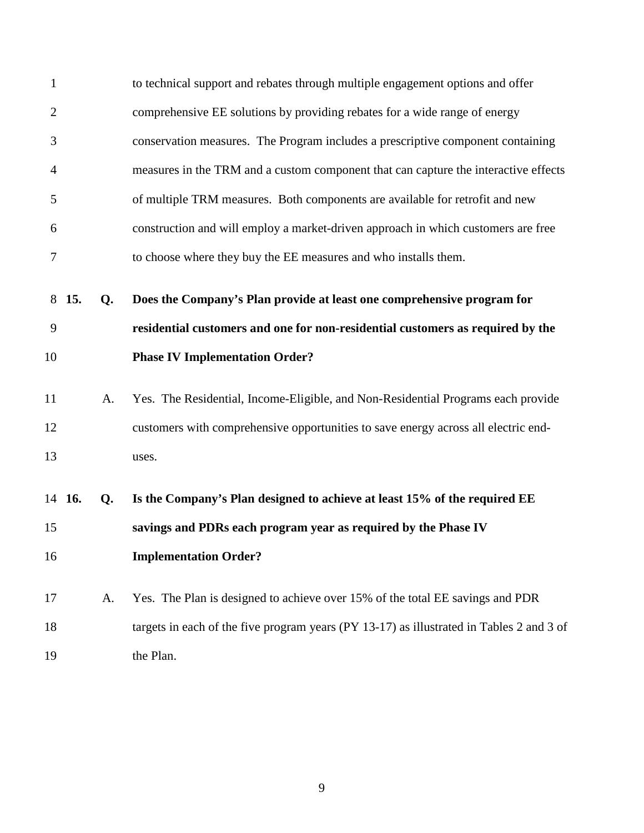| $\mathbf{1}$   |        |    | to technical support and rebates through multiple engagement options and offer           |
|----------------|--------|----|------------------------------------------------------------------------------------------|
| $\overline{2}$ |        |    | comprehensive EE solutions by providing rebates for a wide range of energy               |
| 3              |        |    | conservation measures. The Program includes a prescriptive component containing          |
| $\overline{4}$ |        |    | measures in the TRM and a custom component that can capture the interactive effects      |
| 5              |        |    | of multiple TRM measures. Both components are available for retrofit and new             |
| 6              |        |    | construction and will employ a market-driven approach in which customers are free        |
| 7              |        |    | to choose where they buy the EE measures and who installs them.                          |
|                | 8 15.  | Q. | Does the Company's Plan provide at least one comprehensive program for                   |
| 9              |        |    | residential customers and one for non-residential customers as required by the           |
| 10             |        |    | <b>Phase IV Implementation Order?</b>                                                    |
| 11             |        | A. | Yes. The Residential, Income-Eligible, and Non-Residential Programs each provide         |
| 12             |        |    | customers with comprehensive opportunities to save energy across all electric end-       |
| 13             |        |    | uses.                                                                                    |
|                | 14 16. | Q. | Is the Company's Plan designed to achieve at least 15% of the required EE                |
| 15             |        |    | savings and PDRs each program year as required by the Phase IV                           |
| 16             |        |    | <b>Implementation Order?</b>                                                             |
| 17             |        | A. | Yes. The Plan is designed to achieve over 15% of the total EE savings and PDR            |
| 18             |        |    | targets in each of the five program years (PY 13-17) as illustrated in Tables 2 and 3 of |
| 19             |        |    | the Plan.                                                                                |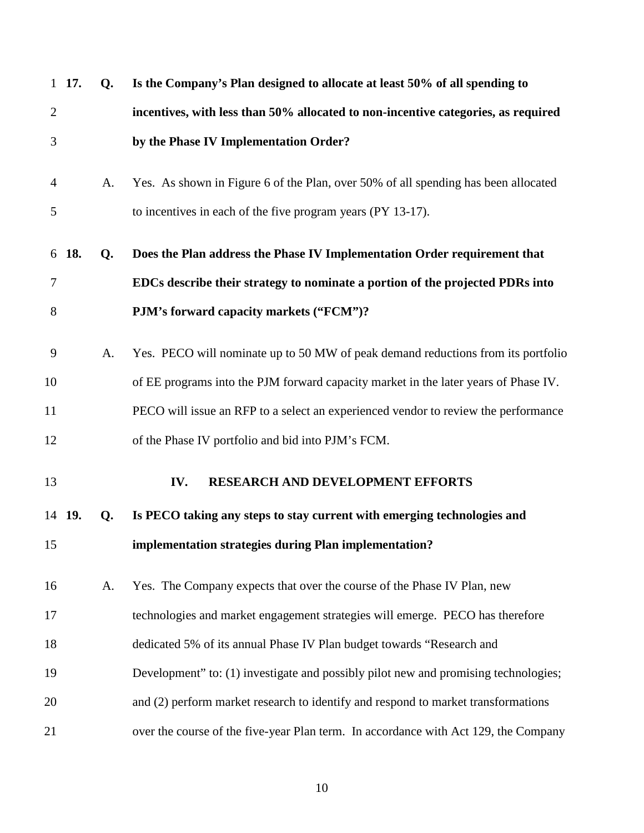|                | 1 17.  | $Q_{\rm}$ | Is the Company's Plan designed to allocate at least 50% of all spending to          |
|----------------|--------|-----------|-------------------------------------------------------------------------------------|
| $\overline{2}$ |        |           | incentives, with less than 50% allocated to non-incentive categories, as required   |
| 3              |        |           | by the Phase IV Implementation Order?                                               |
| $\overline{4}$ |        | A.        | Yes. As shown in Figure 6 of the Plan, over 50% of all spending has been allocated  |
| 5              |        |           | to incentives in each of the five program years (PY 13-17).                         |
|                | 6 18.  | Q.        | Does the Plan address the Phase IV Implementation Order requirement that            |
| 7              |        |           | EDCs describe their strategy to nominate a portion of the projected PDRs into       |
| 8              |        |           | PJM's forward capacity markets ("FCM")?                                             |
| 9              |        | A.        | Yes. PECO will nominate up to 50 MW of peak demand reductions from its portfolio    |
| 10             |        |           | of EE programs into the PJM forward capacity market in the later years of Phase IV. |
| 11             |        |           | PECO will issue an RFP to a select an experienced vendor to review the performance  |
| 12             |        |           | of the Phase IV portfolio and bid into PJM's FCM.                                   |
| 13             |        |           | RESEARCH AND DEVELOPMENT EFFORTS<br>IV.                                             |
|                | 14 19. | Q.        | Is PECO taking any steps to stay current with emerging technologies and             |
| 15             |        |           | implementation strategies during Plan implementation?                               |
| 16             |        | A.        | Yes. The Company expects that over the course of the Phase IV Plan, new             |
| 17             |        |           | technologies and market engagement strategies will emerge. PECO has therefore       |
| 18             |        |           | dedicated 5% of its annual Phase IV Plan budget towards "Research and               |
| 19             |        |           | Development" to: (1) investigate and possibly pilot new and promising technologies; |
| 20             |        |           | and (2) perform market research to identify and respond to market transformations   |
| 21             |        |           | over the course of the five-year Plan term. In accordance with Act 129, the Company |